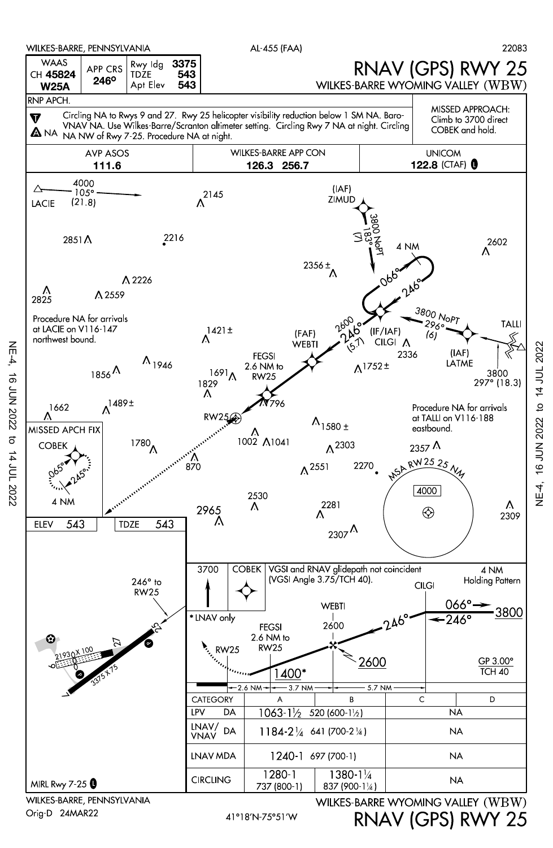

NE-4, NE-4, 16 JUN 2022 to 14 JUL 2022 **16 JUN 2022**  $\overline{c}$ 14 JUL 2022

Orig-D 24MAR22

RNAV (GPS) RWY 25

NE-4, 16 JUN 2022 to 14 JUL 2022

16 JUN 2022 to 14 JUL 2022